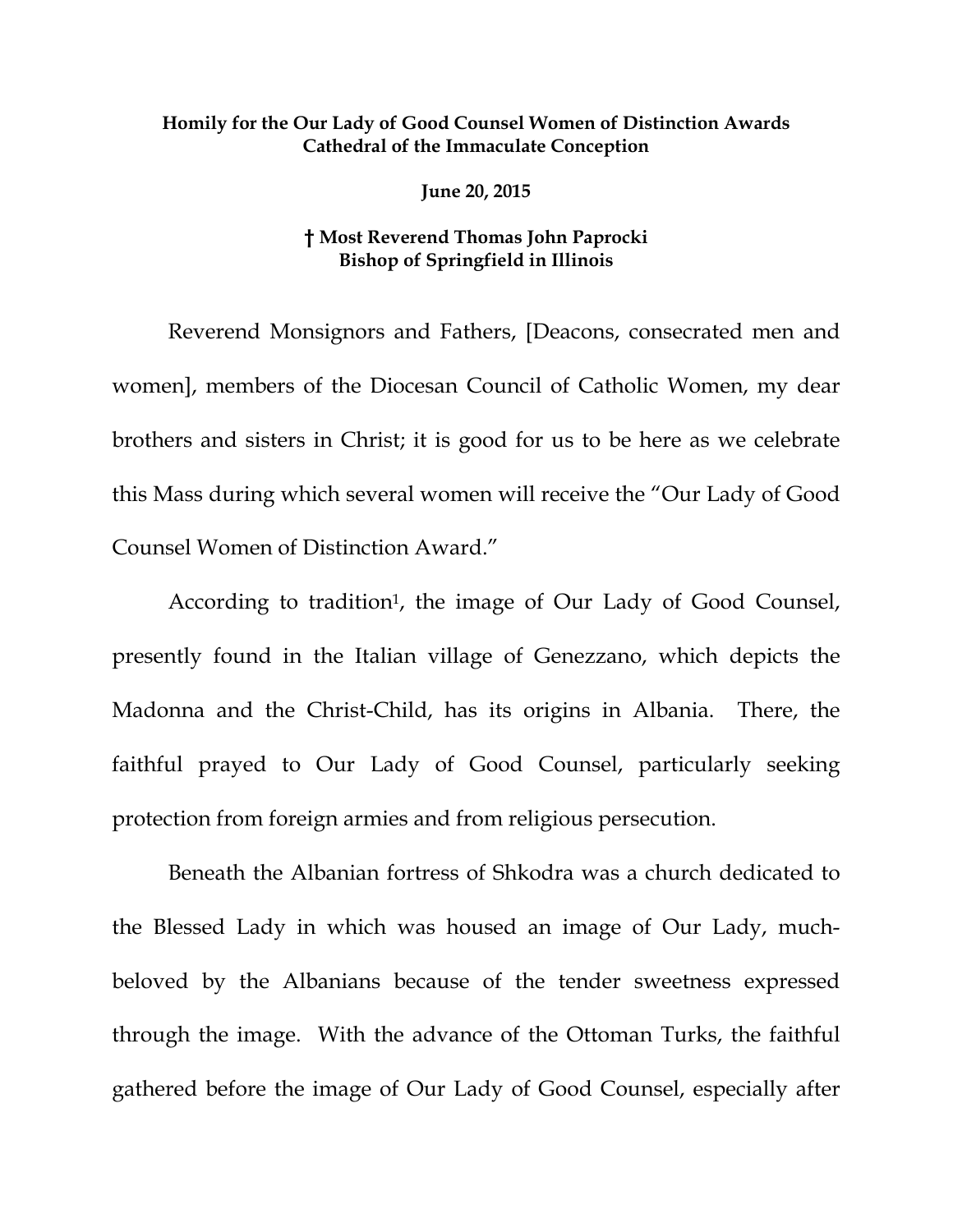## **Homily for the Our Lady of Good Counsel Women of Distinction Awards Cathedral of the Immaculate Conception**

**June 20, 2015** 

## **† Most Reverend Thomas John Paprocki Bishop of Springfield in Illinois**

 Reverend Monsignors and Fathers, [Deacons, consecrated men and women], members of the Diocesan Council of Catholic Women, my dear brothers and sisters in Christ; it is good for us to be here as we celebrate this Mass during which several women will receive the "Our Lady of Good Counsel Women of Distinction Award."

According to tradition<sup>1</sup>, the image of Our Lady of Good Counsel, presently found in the Italian village of Genezzano, which depicts the Madonna and the Christ-Child, has its origins in Albania. There, the faithful prayed to Our Lady of Good Counsel, particularly seeking protection from foreign armies and from religious persecution.

 Beneath the Albanian fortress of Shkodra was a church dedicated to the Blessed Lady in which was housed an image of Our Lady, muchbeloved by the Albanians because of the tender sweetness expressed through the image. With the advance of the Ottoman Turks, the faithful gathered before the image of Our Lady of Good Counsel, especially after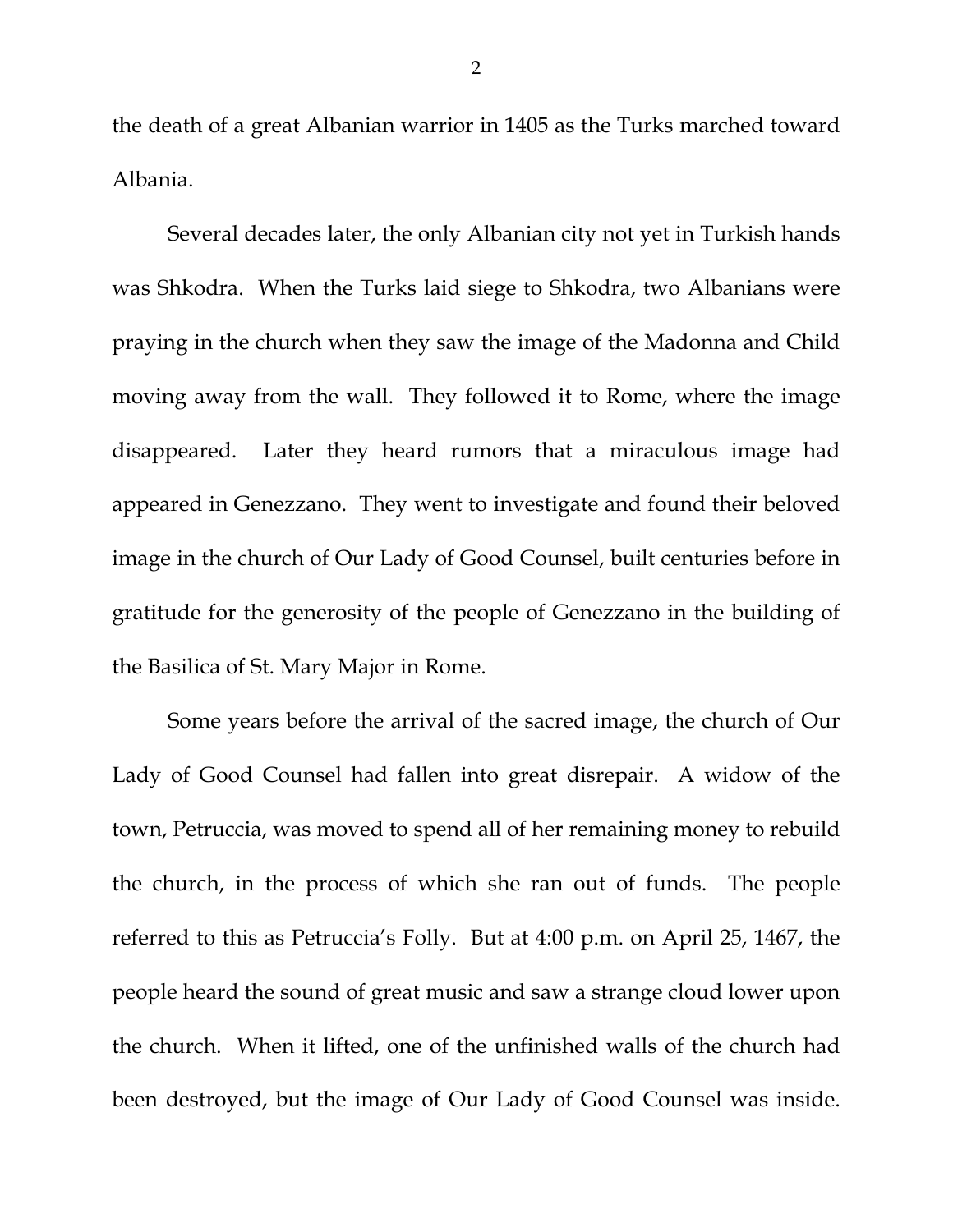the death of a great Albanian warrior in 1405 as the Turks marched toward Albania.

 Several decades later, the only Albanian city not yet in Turkish hands was Shkodra. When the Turks laid siege to Shkodra, two Albanians were praying in the church when they saw the image of the Madonna and Child moving away from the wall. They followed it to Rome, where the image disappeared. Later they heard rumors that a miraculous image had appeared in Genezzano. They went to investigate and found their beloved image in the church of Our Lady of Good Counsel, built centuries before in gratitude for the generosity of the people of Genezzano in the building of the Basilica of St. Mary Major in Rome.

 Some years before the arrival of the sacred image, the church of Our Lady of Good Counsel had fallen into great disrepair. A widow of the town, Petruccia, was moved to spend all of her remaining money to rebuild the church, in the process of which she ran out of funds. The people referred to this as Petruccia's Folly. But at 4:00 p.m. on April 25, 1467, the people heard the sound of great music and saw a strange cloud lower upon the church. When it lifted, one of the unfinished walls of the church had been destroyed, but the image of Our Lady of Good Counsel was inside.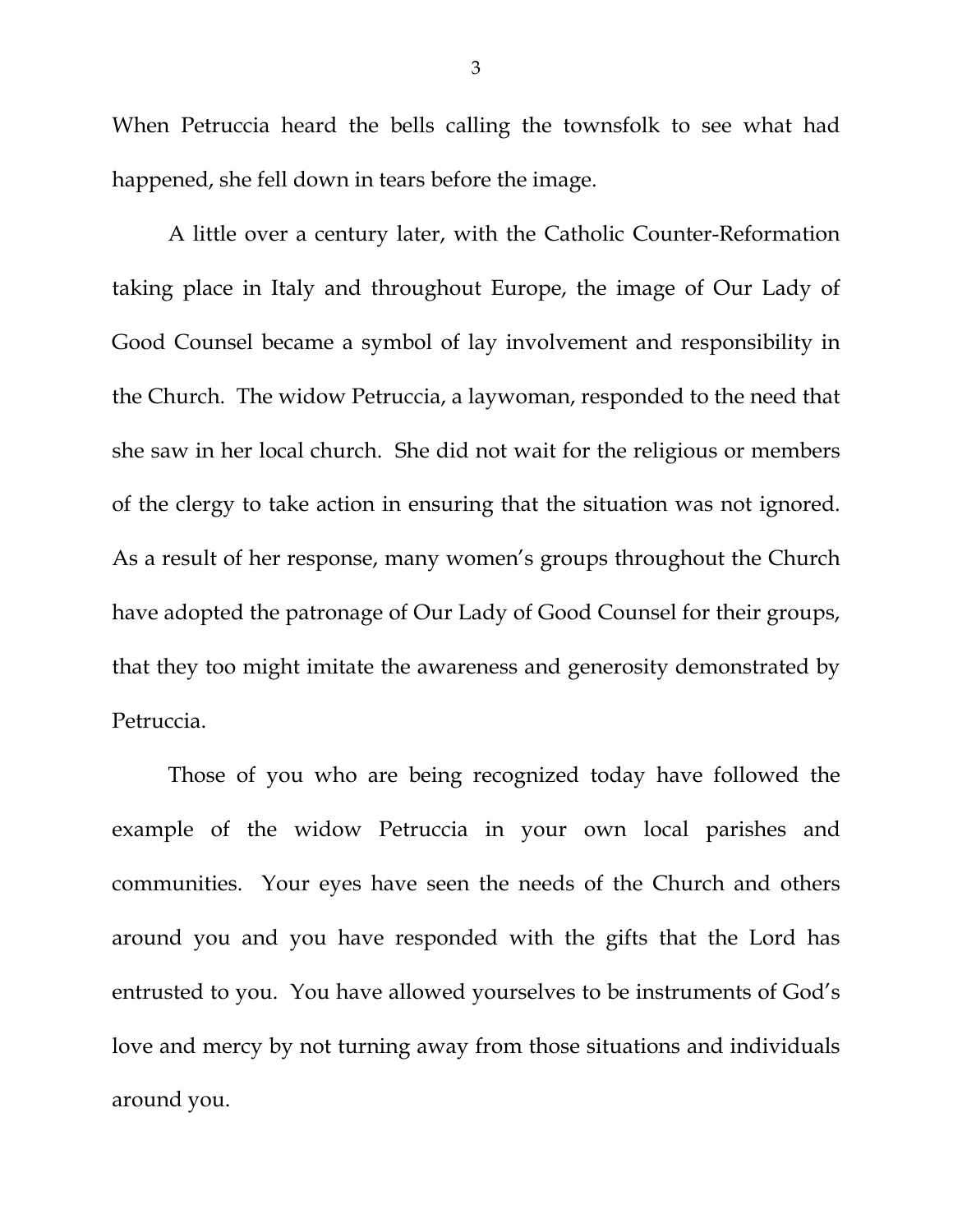When Petruccia heard the bells calling the townsfolk to see what had happened, she fell down in tears before the image.

 A little over a century later, with the Catholic Counter-Reformation taking place in Italy and throughout Europe, the image of Our Lady of Good Counsel became a symbol of lay involvement and responsibility in the Church. The widow Petruccia, a laywoman, responded to the need that she saw in her local church. She did not wait for the religious or members of the clergy to take action in ensuring that the situation was not ignored. As a result of her response, many women's groups throughout the Church have adopted the patronage of Our Lady of Good Counsel for their groups, that they too might imitate the awareness and generosity demonstrated by Petruccia.

 Those of you who are being recognized today have followed the example of the widow Petruccia in your own local parishes and communities. Your eyes have seen the needs of the Church and others around you and you have responded with the gifts that the Lord has entrusted to you. You have allowed yourselves to be instruments of God's love and mercy by not turning away from those situations and individuals around you.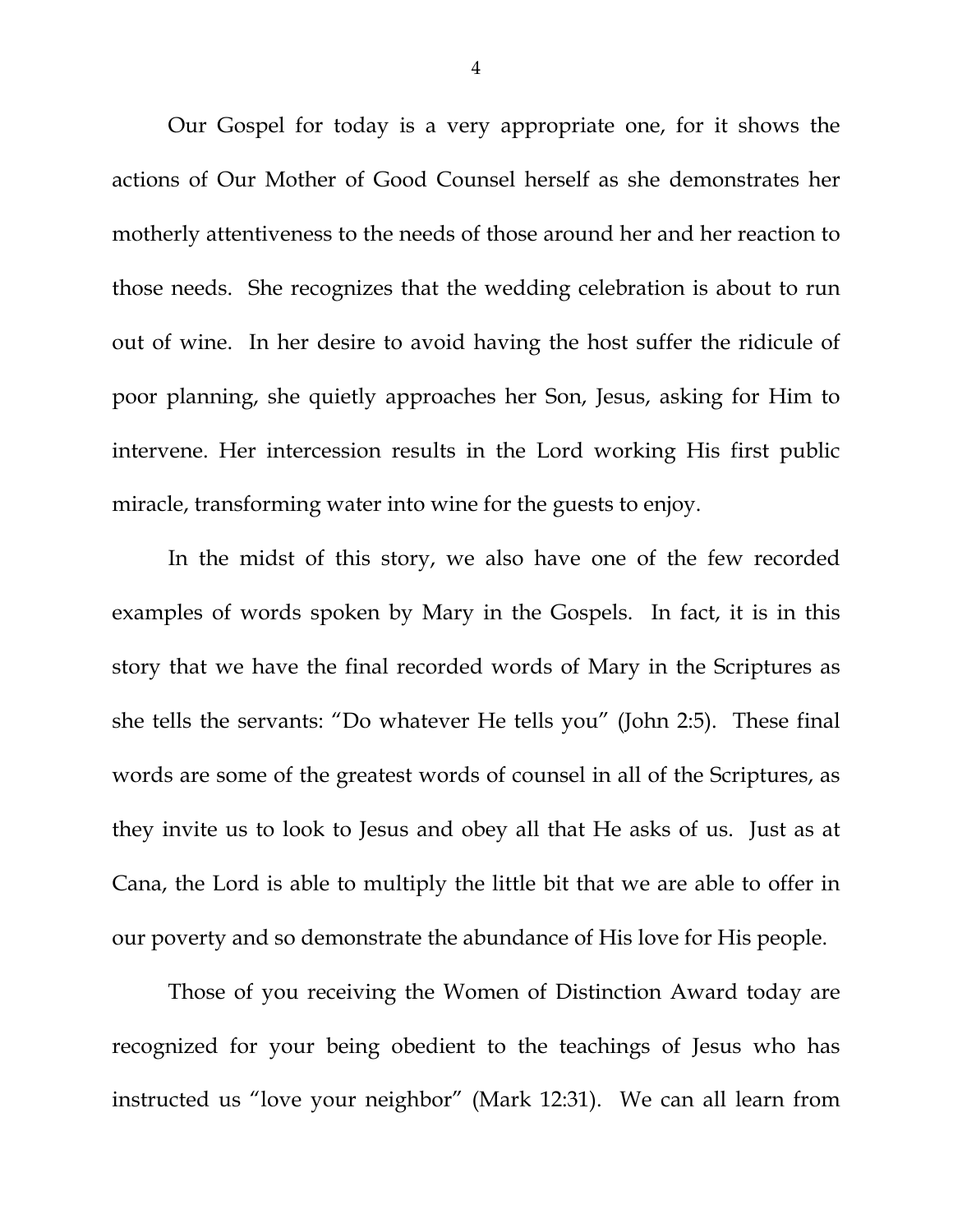Our Gospel for today is a very appropriate one, for it shows the actions of Our Mother of Good Counsel herself as she demonstrates her motherly attentiveness to the needs of those around her and her reaction to those needs. She recognizes that the wedding celebration is about to run out of wine. In her desire to avoid having the host suffer the ridicule of poor planning, she quietly approaches her Son, Jesus, asking for Him to intervene. Her intercession results in the Lord working His first public miracle, transforming water into wine for the guests to enjoy.

 In the midst of this story, we also have one of the few recorded examples of words spoken by Mary in the Gospels. In fact, it is in this story that we have the final recorded words of Mary in the Scriptures as she tells the servants: "Do whatever He tells you" (John 2:5). These final words are some of the greatest words of counsel in all of the Scriptures, as they invite us to look to Jesus and obey all that He asks of us. Just as at Cana, the Lord is able to multiply the little bit that we are able to offer in our poverty and so demonstrate the abundance of His love for His people.

 Those of you receiving the Women of Distinction Award today are recognized for your being obedient to the teachings of Jesus who has instructed us "love your neighbor" (Mark 12:31). We can all learn from